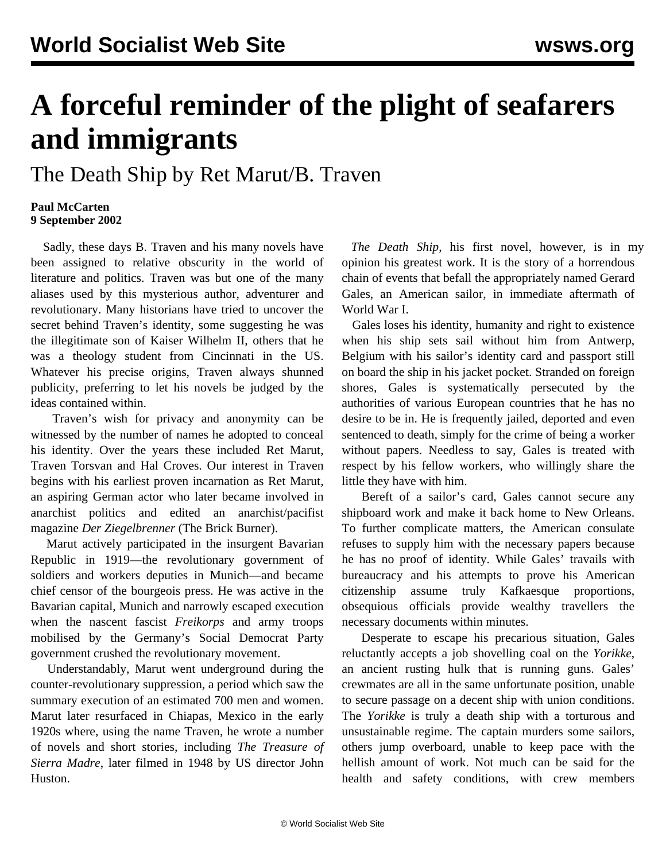## **A forceful reminder of the plight of seafarers and immigrants**

## The Death Ship by Ret Marut/B. Traven

## **Paul McCarten 9 September 2002**

 Sadly, these days B. Traven and his many novels have been assigned to relative obscurity in the world of literature and politics. Traven was but one of the many aliases used by this mysterious author, adventurer and revolutionary. Many historians have tried to uncover the secret behind Traven's identity, some suggesting he was the illegitimate son of Kaiser Wilhelm II, others that he was a theology student from Cincinnati in the US. Whatever his precise origins, Traven always shunned publicity, preferring to let his novels be judged by the ideas contained within.

 Traven's wish for privacy and anonymity can be witnessed by the number of names he adopted to conceal his identity. Over the years these included Ret Marut, Traven Torsvan and Hal Croves. Our interest in Traven begins with his earliest proven incarnation as Ret Marut, an aspiring German actor who later became involved in anarchist politics and edited an anarchist/pacifist magazine *Der Ziegelbrenner* (The Brick Burner).

 Marut actively participated in the insurgent Bavarian Republic in 1919—the revolutionary government of soldiers and workers deputies in Munich—and became chief censor of the bourgeois press. He was active in the Bavarian capital, Munich and narrowly escaped execution when the nascent fascist *Freikorps* and army troops mobilised by the Germany's Social Democrat Party government crushed the revolutionary movement.

 Understandably, Marut went underground during the counter-revolutionary suppression, a period which saw the summary execution of an estimated 700 men and women. Marut later resurfaced in Chiapas, Mexico in the early 1920s where, using the name Traven, he wrote a number of novels and short stories, including *The Treasure of Sierra Madre*, later filmed in 1948 by US director John Huston.

 *The Death Ship*, his first novel, however, is in my opinion his greatest work. It is the story of a horrendous chain of events that befall the appropriately named Gerard Gales, an American sailor, in immediate aftermath of World War I.

 Gales loses his identity, humanity and right to existence when his ship sets sail without him from Antwerp, Belgium with his sailor's identity card and passport still on board the ship in his jacket pocket. Stranded on foreign shores, Gales is systematically persecuted by the authorities of various European countries that he has no desire to be in. He is frequently jailed, deported and even sentenced to death, simply for the crime of being a worker without papers. Needless to say, Gales is treated with respect by his fellow workers, who willingly share the little they have with him.

 Bereft of a sailor's card, Gales cannot secure any shipboard work and make it back home to New Orleans. To further complicate matters, the American consulate refuses to supply him with the necessary papers because he has no proof of identity. While Gales' travails with bureaucracy and his attempts to prove his American citizenship assume truly Kafkaesque proportions, obsequious officials provide wealthy travellers the necessary documents within minutes.

 Desperate to escape his precarious situation, Gales reluctantly accepts a job shovelling coal on the *Yorikke*, an ancient rusting hulk that is running guns. Gales' crewmates are all in the same unfortunate position, unable to secure passage on a decent ship with union conditions. The *Yorikke* is truly a death ship with a torturous and unsustainable regime. The captain murders some sailors, others jump overboard, unable to keep pace with the hellish amount of work. Not much can be said for the health and safety conditions, with crew members